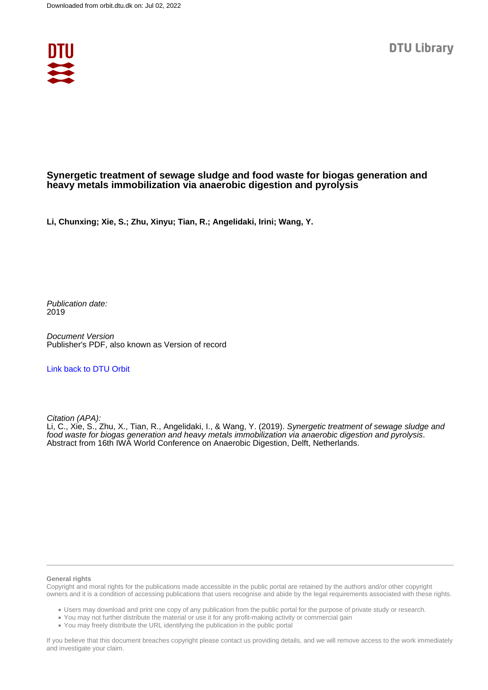

#### **Synergetic treatment of sewage sludge and food waste for biogas generation and heavy metals immobilization via anaerobic digestion and pyrolysis**

**Li, Chunxing; Xie, S.; Zhu, Xinyu; Tian, R.; Angelidaki, Irini; Wang, Y.**

Publication date: 2019

Document Version Publisher's PDF, also known as Version of record

#### [Link back to DTU Orbit](https://orbit.dtu.dk/en/publications/9c7155c9-bb73-491c-9e52-daf402584750)

Citation (APA):

Li, C., Xie, S., Zhu, X., Tian, R., Angelidaki, I., & Wang, Y. (2019). Synergetic treatment of sewage sludge and food waste for biogas generation and heavy metals immobilization via anaerobic digestion and pyrolysis. Abstract from 16th IWA World Conference on Anaerobic Digestion, Delft, Netherlands.

#### **General rights**

Copyright and moral rights for the publications made accessible in the public portal are retained by the authors and/or other copyright owners and it is a condition of accessing publications that users recognise and abide by the legal requirements associated with these rights.

Users may download and print one copy of any publication from the public portal for the purpose of private study or research.

- You may not further distribute the material or use it for any profit-making activity or commercial gain
- You may freely distribute the URL identifying the publication in the public portal

If you believe that this document breaches copyright please contact us providing details, and we will remove access to the work immediately and investigate your claim.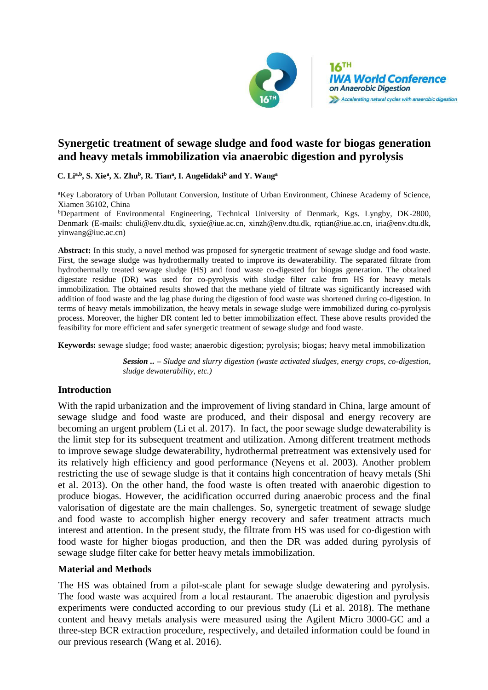

# **Synergetic treatment of sewage sludge and food waste for biogas generation and heavy metals immobilization via anaerobic digestion and pyrolysis**

**C. Lia,b , S. Xie<sup>a</sup> , X. Zhu<sup>b</sup> , R. Tian<sup>a</sup> , I. Angelidaki<sup>b</sup> and Y. Wang<sup>a</sup>**

<sup>a</sup>Key Laboratory of Urban Pollutant Conversion, Institute of Urban Environment, Chinese Academy of Science, Xiamen 36102, China

<sup>b</sup>Department of Environmental Engineering, Technical University of Denmark, Kgs. Lyngby, DK-2800, Denmark (E-mails: chuli@env.dtu.dk, syxie@iue.ac.cn, xinzh@env.dtu.dk, [rqtian@iue.ac.cn,](mailto:rqtian@iue.ac.cn) iria@env.dtu.dk, yinwang@iue.ac.cn)

**Abstract:** In this study, a novel method was proposed for synergetic treatment of sewage sludge and food waste. First, the sewage sludge was hydrothermally treated to improve its dewaterability. The separated filtrate from hydrothermally treated sewage sludge (HS) and food waste co-digested for biogas generation. The obtained digestate residue (DR) was used for co-pyrolysis with sludge filter cake from HS for heavy metals immobilization. The obtained results showed that the methane yield of filtrate was significantly increased with addition of food waste and the lag phase during the digestion of food waste was shortened during co-digestion. In terms of heavy metals immobilization, the heavy metals in sewage sludge were immobilized during co-pyrolysis process. Moreover, the higher DR content led to better immobilization effect. These above results provided the feasibility for more efficient and safer synergetic treatment of sewage sludge and food waste.

**Keywords:** sewage sludge; food waste; anaerobic digestion; pyrolysis; biogas; heavy metal immobilization

*Session .. – Sludge and slurry digestion (waste activated sludges, energy crops, co-digestion, sludge dewaterability, etc.)*

# **Introduction**

With the rapid urbanization and the improvement of living standard in China, large amount of sewage sludge and food waste are produced, and their disposal and energy recovery are becoming an urgent problem (Li et al. 2017). In fact, the poor sewage sludge dewaterability is the limit step for its subsequent treatment and utilization. Among different treatment methods to improve sewage sludge dewaterability, hydrothermal pretreatment was extensively used for its relatively high efficiency and good performance (Neyens et al. 2003). Another problem restricting the use of sewage sludge is that it contains high concentration of heavy metals (Shi et al. 2013). On the other hand, the food waste is often treated with anaerobic digestion to produce biogas. However, the acidification occurred during anaerobic process and the final valorisation of digestate are the main challenges. So, synergetic treatment of sewage sludge and food waste to accomplish higher energy recovery and safer treatment attracts much interest and attention. In the present study, the filtrate from HS was used for co-digestion with food waste for higher biogas production, and then the DR was added during pyrolysis of sewage sludge filter cake for better heavy metals immobilization.

## **Material and Methods**

The HS was obtained from a pilot-scale plant for sewage sludge dewatering and pyrolysis. The food waste was acquired from a local restaurant. The anaerobic digestion and pyrolysis experiments were conducted according to our previous study (Li et al. 2018). The methane content and heavy metals analysis were measured using the Agilent Micro 3000-GC and a three-step BCR extraction procedure, respectively, and detailed information could be found in our previous research (Wang et al. 2016).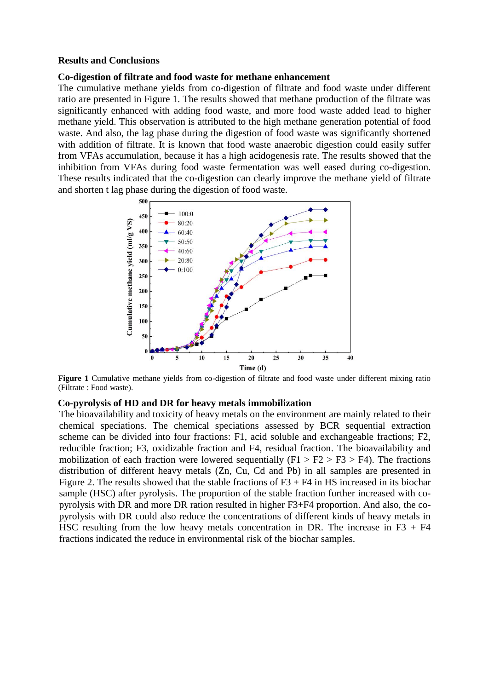#### **Results and Conclusions**

#### **Co-digestion of filtrate and food waste for methane enhancement**

The cumulative methane yields from co-digestion of filtrate and food waste under different ratio are presented in Figure 1. The results showed that methane production of the filtrate was significantly enhanced with adding food waste, and more food waste added lead to higher methane yield. This observation is attributed to the high methane generation potential of food waste. And also, the lag phase during the digestion of food waste was significantly shortened with addition of filtrate. It is known that food waste anaerobic digestion could easily suffer from VFAs accumulation, because it has a high acidogenesis rate. The results showed that the inhibition from VFAs during food waste fermentation was well eased during co-digestion. These results indicated that the co-digestion can clearly improve the methane yield of filtrate and shorten t lag phase during the digestion of food waste.



**Figure 1** Cumulative methane yields from co-digestion of filtrate and food waste under different mixing ratio (Filtrate : Food waste).

## **Co-pyrolysis of HD and DR for heavy metals immobilization**

The bioavailability and toxicity of heavy metals on the environment are mainly related to their chemical speciations. The chemical speciations assessed by BCR sequential extraction scheme can be divided into four fractions: F1, acid soluble and exchangeable fractions; F2, reducible fraction; F3, oxidizable fraction and F4, residual fraction. The bioavailability and mobilization of each fraction were lowered sequentially  $(F1 > F2 > F3 > F4)$ . The fractions distribution of different heavy metals (Zn, Cu, Cd and Pb) in all samples are presented in Figure 2. The results showed that the stable fractions of  $F3 + F4$  in HS increased in its biochar sample (HSC) after pyrolysis. The proportion of the stable fraction further increased with copyrolysis with DR and more DR ration resulted in higher F3+F4 proportion. And also, the copyrolysis with DR could also reduce the concentrations of different kinds of heavy metals in HSC resulting from the low heavy metals concentration in DR. The increase in  $F3 + F4$ fractions indicated the reduce in environmental risk of the biochar samples.